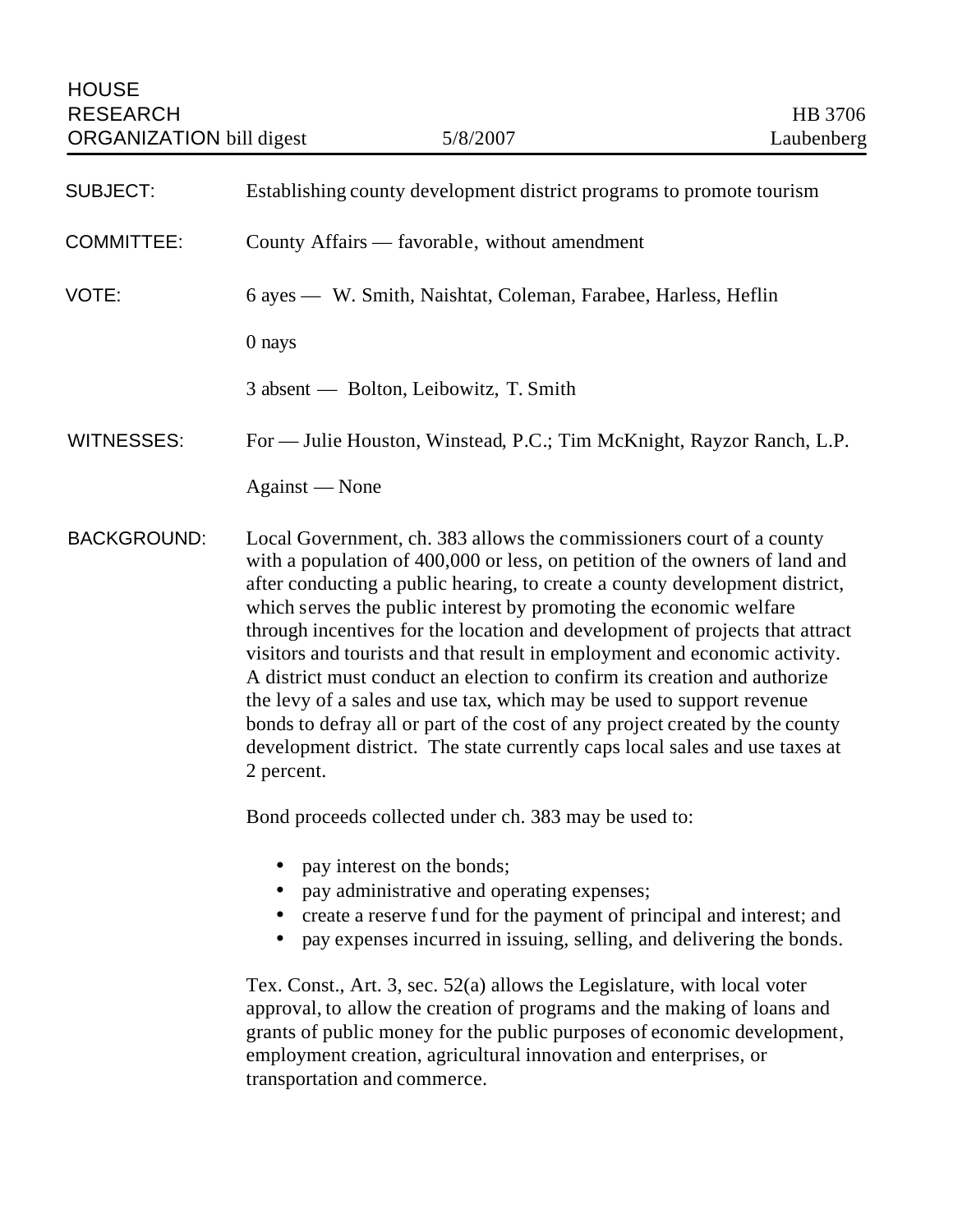| <b>SUBJECT:</b>    | Establishing county development district programs to promote tourism                                                                                                                                                                                                                                                                                                                                                                                                                                                                                                                                                                                                                                                                                                                                      |
|--------------------|-----------------------------------------------------------------------------------------------------------------------------------------------------------------------------------------------------------------------------------------------------------------------------------------------------------------------------------------------------------------------------------------------------------------------------------------------------------------------------------------------------------------------------------------------------------------------------------------------------------------------------------------------------------------------------------------------------------------------------------------------------------------------------------------------------------|
| <b>COMMITTEE:</b>  | County Affairs — favorable, without amendment                                                                                                                                                                                                                                                                                                                                                                                                                                                                                                                                                                                                                                                                                                                                                             |
| VOTE:              | 6 ayes — W. Smith, Naishtat, Coleman, Farabee, Harless, Heflin                                                                                                                                                                                                                                                                                                                                                                                                                                                                                                                                                                                                                                                                                                                                            |
|                    | 0 nays                                                                                                                                                                                                                                                                                                                                                                                                                                                                                                                                                                                                                                                                                                                                                                                                    |
|                    | 3 absent — Bolton, Leibowitz, T. Smith                                                                                                                                                                                                                                                                                                                                                                                                                                                                                                                                                                                                                                                                                                                                                                    |
| <b>WITNESSES:</b>  | For — Julie Houston, Winstead, P.C.; Tim McKnight, Rayzor Ranch, L.P.                                                                                                                                                                                                                                                                                                                                                                                                                                                                                                                                                                                                                                                                                                                                     |
|                    | Against - None                                                                                                                                                                                                                                                                                                                                                                                                                                                                                                                                                                                                                                                                                                                                                                                            |
| <b>BACKGROUND:</b> | Local Government, ch. 383 allows the commissioners court of a county<br>with a population of 400,000 or less, on petition of the owners of land and<br>after conducting a public hearing, to create a county development district,<br>which serves the public interest by promoting the economic welfare<br>through incentives for the location and development of projects that attract<br>visitors and tourists and that result in employment and economic activity.<br>A district must conduct an election to confirm its creation and authorize<br>the levy of a sales and use tax, which may be used to support revenue<br>bonds to defray all or part of the cost of any project created by the county<br>development district. The state currently caps local sales and use taxes at<br>2 percent. |
|                    | Bond proceeds collected under ch. 383 may be used to:                                                                                                                                                                                                                                                                                                                                                                                                                                                                                                                                                                                                                                                                                                                                                     |
|                    | • pay interest on the bonds;<br>pay administrative and operating expenses;<br>create a reserve fund for the payment of principal and interest; and<br>pay expenses incurred in issuing, selling, and delivering the bonds.                                                                                                                                                                                                                                                                                                                                                                                                                                                                                                                                                                                |
|                    | Tex. Const., Art. 3, sec. $52(a)$ allows the Legislature, with local voter<br>approval, to allow the creation of programs and the making of loans and<br>grants of public money for the public purposes of economic development,<br>employment creation, agricultural innovation and enterprises, or<br>transportation and commerce.                                                                                                                                                                                                                                                                                                                                                                                                                                                                      |